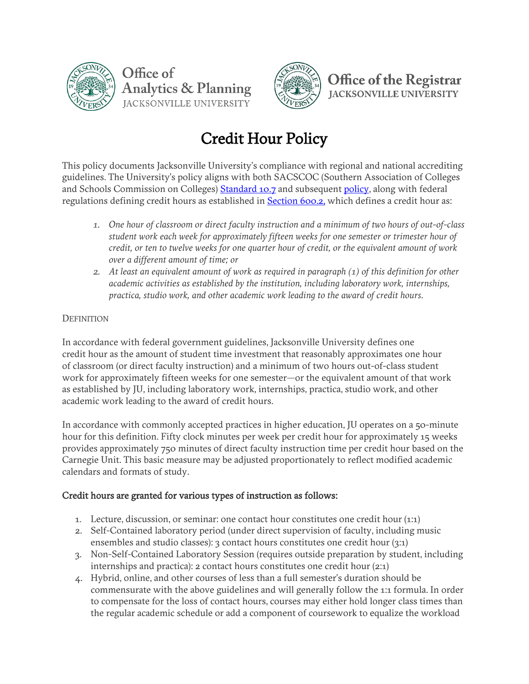



**Office of the Registrar IACKSONVILLE UNIVERSITY** 

## Credit Hour Policy

This policy documents Jacksonville University's compliance with regional and national accrediting guidelines. The University's policy aligns with both SACSCOC (Southern Association of Colleges and Schools Commission on Colleges) Standard 10.7 and subsequent [policy,](https://sacscoc.org/app/uploads/2019/08/Credit-Hours.pdf) along with federal regulations defining credit hours as established in **Section 600.2**, which defines a credit hour as:

- *1. One hour of classroom or direct faculty instruction and a minimum of two hours of out-of-class student work each week for approximately fifteen weeks for one semester or trimester hour of credit, or ten to twelve weeks for one quarter hour of credit, or the equivalent amount of work over a different amount of time; or*
- *2. At least an equivalent amount of work as required in paragraph (1) of this definition for other academic activities as established by the institution, including laboratory work, internships, practica, studio work, and other academic work leading to the award of credit hours.*

## **DEFINITION**

In accordance with federal government guidelines, Jacksonville University defines one credit hour as the amount of student time investment that reasonably approximates one hour of classroom (or direct faculty instruction) and a minimum of two hours out-of-class student work for approximately fifteen weeks for one semester—or the equivalent amount of that work as established by JU, including laboratory work, internships, practica, studio work, and other academic work leading to the award of credit hours.

In accordance with commonly accepted practices in higher education, JU operates on a 50-minute hour for this definition. Fifty clock minutes per week per credit hour for approximately 15 weeks provides approximately 750 minutes of direct faculty instruction time per credit hour based on the Carnegie Unit. This basic measure may be adjusted proportionately to reflect modified academic calendars and formats of study.

## Credit hours are granted for various types of instruction as follows:

- 1. Lecture, discussion, or seminar: one contact hour constitutes one credit hour (1:1)
- 2. Self-Contained laboratory period (under direct supervision of faculty, including music ensembles and studio classes): 3 contact hours constitutes one credit hour (3:1)
- 3. Non-Self-Contained Laboratory Session (requires outside preparation by student, including internships and practica): 2 contact hours constitutes one credit hour (2:1)
- 4. Hybrid, online, and other courses of less than a full semester's duration should be commensurate with the above guidelines and will generally follow the 1:1 formula. In order to compensate for the loss of contact hours, courses may either hold longer class times than the regular academic schedule or add a component of coursework to equalize the workload